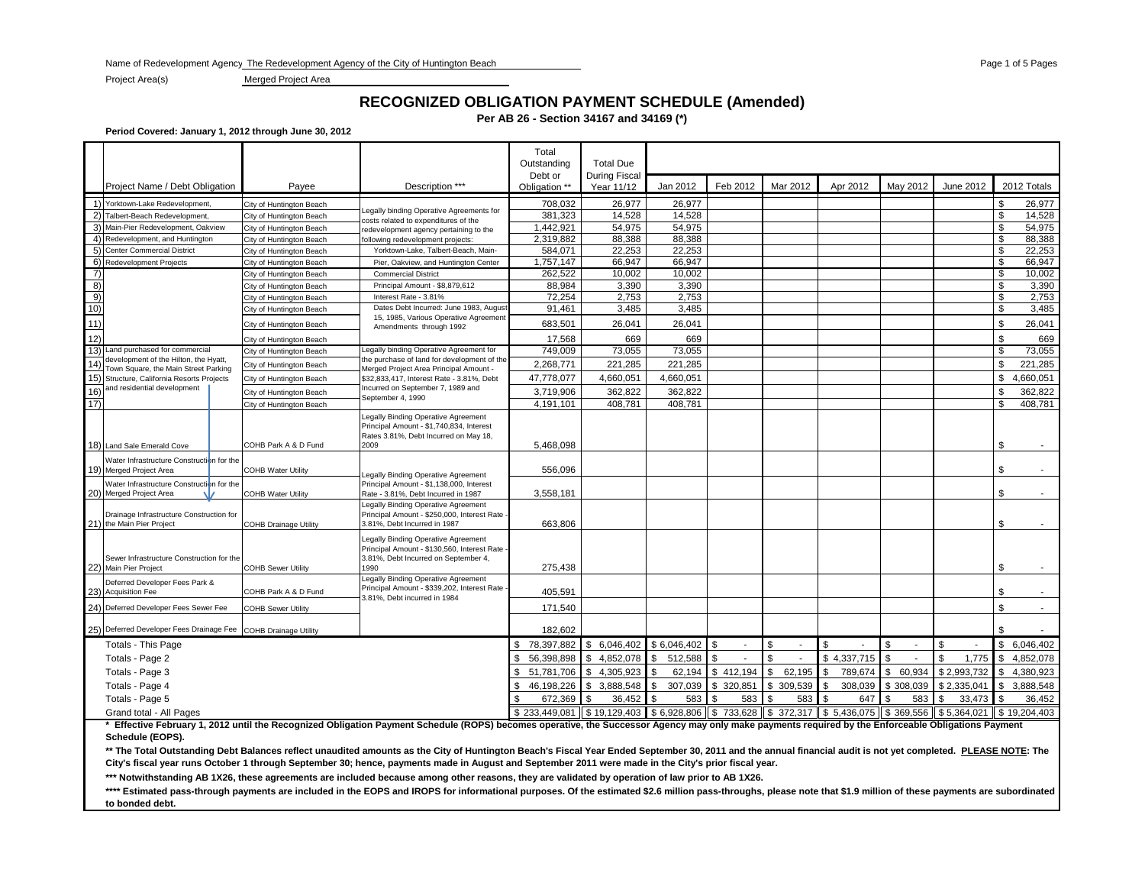Name of Redevelopment Agency: The Redevelopment Agency of the City of Huntington Beach Pages 1 of 5 Pages 1 of 5 Pages 1 of 5 Pages 1 of 5 Pages

Project Area(s) Merged Project Area

### **RECOGNIZED OBLIGATION PAYMENT SCHEDULE (Amended)**

**Per AB 26 - Section 34167 and 34169 (\*)**

**Period Covered: January 1, 2012 through June 30, 2012**

|               |                                                                               |                              |                                                                                                                                    | Total<br>Outstanding     | <b>Total Due</b>            |                       |            |               |                         |              |               |                   |
|---------------|-------------------------------------------------------------------------------|------------------------------|------------------------------------------------------------------------------------------------------------------------------------|--------------------------|-----------------------------|-----------------------|------------|---------------|-------------------------|--------------|---------------|-------------------|
|               | Project Name / Debt Obligation                                                | Payee                        | Description ***                                                                                                                    | Debt or<br>Obligation ** | During Fiscal<br>Year 11/12 | Jan 2012              | Feb 2012   | Mar 2012      | Apr 2012                | May 2012     | June 2012     | 2012 Totals       |
|               | 1) Yorktown-Lake Redevelopment,                                               | City of Huntington Beach     |                                                                                                                                    | 708,032                  | 26,977                      | 26,977                |            |               |                         |              |               | \$<br>26,977      |
|               | 2) Talbert-Beach Redevelopment,                                               | City of Huntington Beach     | Legally binding Operative Agreements for<br>costs related to expenditures of the                                                   | 381,323                  | 14.528                      | 14,528                |            |               |                         |              |               | \$<br>14,528      |
|               | 3) Main-Pier Redevelopment, Oakview                                           | City of Huntington Beach     | redevelopment agency pertaining to the                                                                                             | 1.442.921                | 54.975                      | 54,975                |            |               |                         |              |               | \$<br>54,975      |
|               | 4) Redevelopment, and Huntington                                              | City of Huntington Beach     | ollowing redevelopment projects:                                                                                                   | 2,319,882                | 88.388                      | 88,388                |            |               |                         |              |               | \$<br>88,388      |
|               | 5) Center Commercial District                                                 | City of Huntington Beach     | Yorktown-Lake, Talbert-Beach, Main-                                                                                                | 584.071                  | 22.253                      | 22.253                |            |               |                         |              |               | \$<br>22,253      |
|               | 6) Redevelopment Projects                                                     | City of Huntington Beach     | Pier, Oakview, and Huntington Center                                                                                               | 1,757,147                | 66,947                      | 66,947                |            |               |                         |              |               | \$<br>66,947      |
| 7)            |                                                                               | City of Huntington Beach     | <b>Commercial District</b>                                                                                                         | 262.522                  | 10,002                      | 10,002                |            |               |                         |              |               | \$<br>10,002      |
| $\frac{8}{9}$ |                                                                               | City of Huntington Beach     | Principal Amount - \$8,879,612                                                                                                     | 88.984                   | 3.390                       | 3,390                 |            |               |                         |              |               | \$<br>3,390       |
|               |                                                                               | City of Huntington Beach     | Interest Rate - 3.81%                                                                                                              | 72,254                   | 2,753                       | 2,753                 |            |               |                         |              |               | \$<br>2,753       |
| 10)           |                                                                               | City of Huntington Beach     | Dates Debt Incurred: June 1983, August<br>15, 1985, Various Operative Agreement                                                    | 91,461                   | 3.485                       | 3,485                 |            |               |                         |              |               | \$<br>3.485       |
| 11)           |                                                                               | City of Huntington Beach     | Amendments through 1992                                                                                                            | 683,501                  | 26.041                      | 26,041                |            |               |                         |              |               | \$<br>26,041      |
| 12)           |                                                                               | City of Huntington Beach     |                                                                                                                                    | 17.568                   | 669                         | 669                   |            |               |                         |              |               | \$<br>669         |
|               | 13) Land purchased for commercial                                             | City of Huntington Beach     | Legally binding Operative Agreement for                                                                                            | 749,009                  | 73,055                      | 73,055                |            |               |                         |              |               | \$<br>73,055      |
| 14)           | development of the Hilton, the Hyatt,<br>Town Square, the Main Street Parking | City of Huntington Beach     | the purchase of land for development of the<br>Merged Project Area Principal Amount -                                              | 2,268,771                | 221,285                     | 221,285               |            |               |                         |              |               | \$<br>221,285     |
|               | 15) Structure, California Resorts Projects                                    | City of Huntington Beach     | \$32,833,417, Interest Rate - 3.81%, Debt                                                                                          | 47,778,077               | 4,660,051                   | 4,660,051             |            |               |                         |              |               | \$<br>4.660.051   |
| 16)           | and residential development                                                   | City of Huntington Beach     | Incurred on September 7, 1989 and                                                                                                  | 3,719,906                | 362,822                     | 362,822               |            |               |                         |              |               | \$<br>362,822     |
| 17)           |                                                                               | City of Huntington Beach     | September 4, 1990                                                                                                                  | 4,191,101                | 408,781                     | 408,781               |            |               |                         |              |               | 408,781<br>\$     |
|               | 18) Land Sale Emerald Cove                                                    | COHB Park A & D Fund         | Legally Binding Operative Agreement<br>Principal Amount - \$1,740,834, Interest<br>Rates 3.81%, Debt Incurred on May 18,<br>2009   | 5,468,098                |                             |                       |            |               |                         |              |               | S                 |
|               |                                                                               |                              |                                                                                                                                    |                          |                             |                       |            |               |                         |              |               |                   |
|               | Water Infrastructure Construction for the<br>19) Merged Project Area          | <b>COHB Water Utility</b>    |                                                                                                                                    | 556.096                  |                             |                       |            |               |                         |              |               | \$                |
|               |                                                                               |                              | Legally Binding Operative Agreement                                                                                                |                          |                             |                       |            |               |                         |              |               |                   |
|               | Water Infrastructure Construction for the<br>20) Merged Project Area          | <b>COHB Water Utility</b>    | Principal Amount - \$1,138,000, Interest<br>Rate - 3.81%, Debt Incurred in 1987                                                    | 3,558,181                |                             |                       |            |               |                         |              |               | S                 |
|               | Drainage Infrastructure Construction for<br>21) the Main Pier Project         | <b>COHB Drainage Utility</b> | Legally Binding Operative Agreement<br>Principal Amount - \$250,000, Interest Rate<br>3.81%, Debt Incurred in 1987                 | 663,806                  |                             |                       |            |               |                         |              |               | \$                |
|               | Sewer Infrastructure Construction for the<br>22) Main Pier Project            | <b>COHB Sewer Utility</b>    | Legally Binding Operative Agreement<br>Principal Amount - \$130,560, Interest Rate<br>3.81%, Debt Incurred on September 4,<br>1990 | 275,438                  |                             |                       |            |               |                         |              |               | \$                |
|               | Deferred Developer Fees Park &                                                |                              | Legally Binding Operative Agreement                                                                                                |                          |                             |                       |            |               |                         |              |               |                   |
|               | 23) Acquisition Fee                                                           | COHB Park A & D Fund         | Principal Amount - \$339,202, Interest Rate -<br>3.81%. Debt incurred in 1984                                                      | 405,591                  |                             |                       |            |               |                         |              |               | \$                |
|               | 24) Deferred Developer Fees Sewer Fee                                         | <b>COHB Sewer Utility</b>    |                                                                                                                                    | 171,540                  |                             |                       |            |               |                         |              |               | \$                |
|               | 25) Deferred Developer Fees Drainage Fee COHB Drainage Utility                |                              |                                                                                                                                    | 182,602                  |                             |                       |            |               |                         |              |               |                   |
|               | <b>Totals - This Page</b>                                                     |                              |                                                                                                                                    | \$78,397,882             | \$                          | 6,046,402 \$6,046,402 |            | \$            |                         |              |               | 6,046,402<br>\$   |
|               | Totals - Page 2                                                               |                              |                                                                                                                                    | 56,398,898<br>\$         | \$<br>4,852,078             | \$<br>512,588         |            | \$            | \$4,337,715             | \$           | 1,775         | 4,852,078<br>l \$ |
|               | Totals - Page 3                                                               |                              |                                                                                                                                    | \$<br>51,781,706         | \$<br>4.305.923             | 62,194<br>\$          | \$412,194  | 62,195<br>\$  | 789,674                 | 60,934<br>\$ | \$2.993.732   | 4.380.923<br>\$   |
|               | Totals - Page 4                                                               |                              |                                                                                                                                    | 46,198,226<br>\$         | \$<br>3,888,548             | 307,039<br>\$         | \$ 320,851 | \$<br>309,539 | 308,039<br>\$           | \$308,039    | \$2,335,041   | 3,888,548<br>\$   |
|               | Totals - Page 5                                                               |                              |                                                                                                                                    | 672,369                  | \$<br>36,452                | \$.<br>583            | 583        | 583           | 647                     | 583          | 33,473<br>\$. | 36,452            |
|               | Grand total - All Pages                                                       |                              |                                                                                                                                    | \$233,449,081            | $$19,129,403$ $$6,928,806$  |                       | \$733,628  |               | $$372,317$ $$5,436,075$ | \$369,556    | \$5,364,021   | \$19,204,403      |

**\* Effective February 1, 2012 until the Recognized Obligation Payment Schedule (ROPS) becomes operative, the Successor Agency may only make payments required by the Enforceable Obligations Payment Schedule (EOPS).** 

\*\* The Total Outstanding Debt Balances reflect unaudited amounts as the City of Huntington Beach's Fiscal Year Ended September 30, 2011 and the annual financial audit is not yet completed. PLEASE NOTE: The **City's fiscal year runs October 1 through September 30; hence, payments made in August and September 2011 were made in the City's prior fiscal year.**

**\*\*\* Notwithstanding AB 1X26, these agreements are included because among other reasons, they are validated by operation of law prior to AB 1X26.**

\*\*\*\* Estimated pass-through payments are included in the EOPS and IROPS for informational purposes. Of the estimated \$2.6 million pass-throughs, please note that \$1.9 million of these payments are subordinated **to bonded debt.**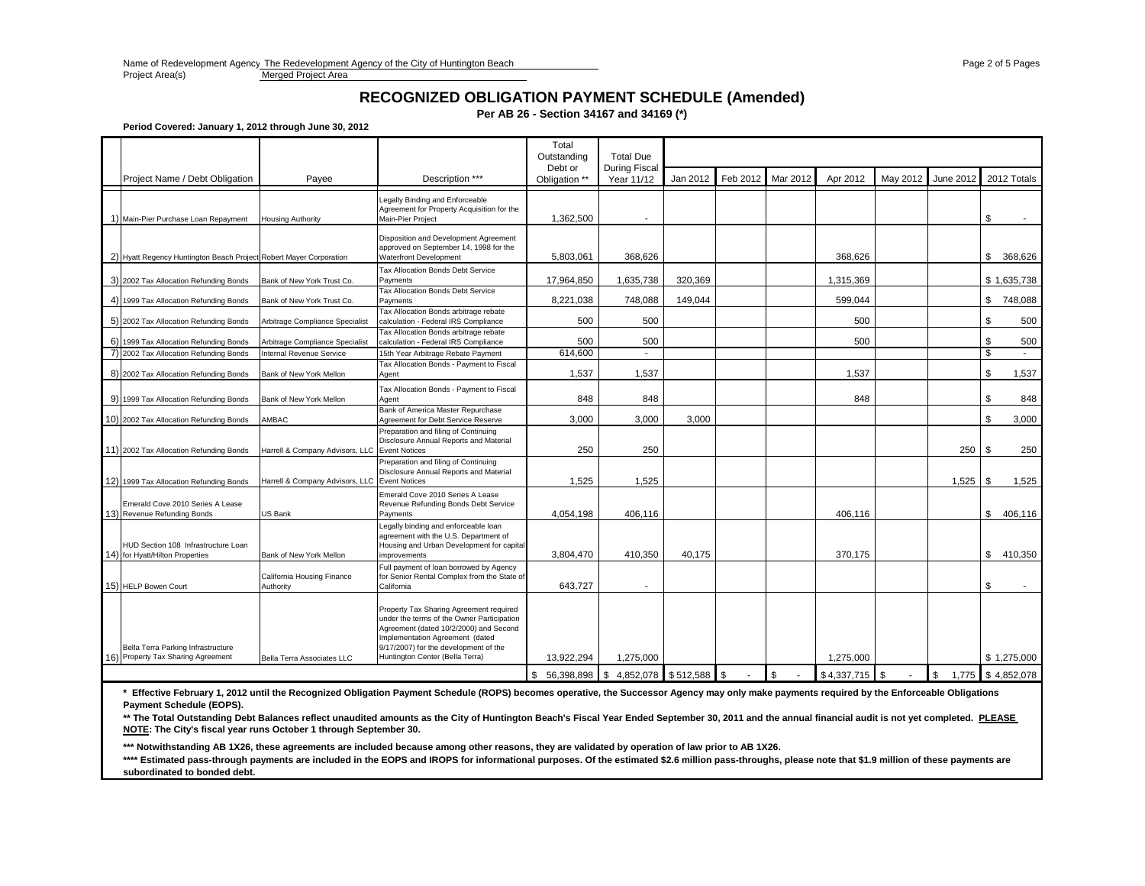Name of Redevelopment Agency The Redevelopment Agency of the City of Huntington Beach Page 2 of 5 Page 2 of 5 Page 2 of 5 Pages<br>
Project Area(s) Project Area

Merged Project Area

## **RECOGNIZED OBLIGATION PAYMENT SCHEDULE (Amended)**

**Per AB 26 - Section 34167 and 34169 (\*)**

**Period Covered: January 1, 2012 through June 30, 2012**

|                                                                          |                                               |                                                                                                                                                                                                                                                | Total<br>Outstanding                      | <b>Total Due</b>                   |          |          |          |                  |          |           |                    |
|--------------------------------------------------------------------------|-----------------------------------------------|------------------------------------------------------------------------------------------------------------------------------------------------------------------------------------------------------------------------------------------------|-------------------------------------------|------------------------------------|----------|----------|----------|------------------|----------|-----------|--------------------|
| Project Name / Debt Obligation                                           | Payee                                         | Description ***                                                                                                                                                                                                                                | Debt or<br>Obligation **                  | <b>During Fiscal</b><br>Year 11/12 | Jan 2012 | Feb 2012 | Mar 2012 | Apr 2012         | May 2012 | June 2012 | 2012 Totals        |
| 1) Main-Pier Purchase Loan Repayment                                     | <b>Housing Authority</b>                      | Legally Binding and Enforceable<br>Agreement for Property Acquisition for the<br>Main-Pier Proiect                                                                                                                                             | 1,362,500                                 |                                    |          |          |          |                  |          |           | \$                 |
| 2) Hyatt Regency Huntington Beach Project Robert Mayer Corporation       |                                               | Disposition and Development Agreement<br>approved on September 14, 1998 for the<br><b>Waterfront Development</b>                                                                                                                               | 5.803.061                                 | 368.626                            |          |          |          | 368.626          |          |           | \$<br>368.626      |
| 3) 2002 Tax Allocation Refunding Bonds                                   | Bank of New York Trust Co.                    | Tax Allocation Bonds Debt Service<br>Payments                                                                                                                                                                                                  | 17,964,850                                | 1,635,738                          | 320.369  |          |          | 1,315,369        |          |           | \$1,635,738        |
| 4) 1999 Tax Allocation Refunding Bonds                                   | Bank of New York Trust Co.                    | Tax Allocation Bonds Debt Service<br>Payments                                                                                                                                                                                                  | 8,221,038                                 | 748,088                            | 149,044  |          |          | 599,044          |          |           | \$748,088          |
| 5) 2002 Tax Allocation Refunding Bonds                                   | Arbitrage Compliance Specialist               | Tax Allocation Bonds arbitrage rebate<br>calculation - Federal IRS Compliance                                                                                                                                                                  | 500                                       | 500                                |          |          |          | 500              |          |           | \$<br>500          |
| 6) 1999 Tax Allocation Refunding Bonds                                   | Arbitrage Compliance Specialist               | Tax Allocation Bonds arbitrage rebate<br>calculation - Federal IRS Compliance                                                                                                                                                                  | 500                                       | 500                                |          |          |          | 500              |          |           | \$<br>500          |
| 7) 2002 Tax Allocation Refunding Bonds                                   | Internal Revenue Service                      | 15th Year Arbitrage Rebate Payment                                                                                                                                                                                                             | 614,600                                   | $\overline{\phantom{a}}$           |          |          |          |                  |          |           | $\mathbf{\hat{s}}$ |
| 8) 2002 Tax Allocation Refunding Bonds                                   | Bank of New York Mellon                       | Tax Allocation Bonds - Payment to Fiscal<br>Agent                                                                                                                                                                                              | 1,537                                     | 1.537                              |          |          |          | 1.537            |          |           | \$<br>1,537        |
| 9) 1999 Tax Allocation Refunding Bonds                                   | Bank of New York Mellon                       | Tax Allocation Bonds - Payment to Fiscal<br>Agent                                                                                                                                                                                              | 848                                       | 848                                |          |          |          | 848              |          |           | \$<br>848          |
| 10) 2002 Tax Allocation Refunding Bonds                                  | AMBAC                                         | Bank of America Master Repurchase<br>Agreement for Debt Service Reserve                                                                                                                                                                        | 3.000                                     | 3,000                              | 3.000    |          |          |                  |          |           | \$<br>3,000        |
| 11) 2002 Tax Allocation Refunding Bonds                                  | Harrell & Company Advisors, LLC Event Notices | Preparation and filing of Continuing<br>Disclosure Annual Reports and Material                                                                                                                                                                 | 250                                       | 250                                |          |          |          |                  |          | 250       | - \$<br>250        |
| 12) 1999 Tax Allocation Refunding Bonds                                  | Harrell & Company Advisors, LLC Event Notices | Preparation and filing of Continuing<br>Disclosure Annual Reports and Material                                                                                                                                                                 | 1,525                                     | 1,525                              |          |          |          |                  |          | 1,525     | \$<br>1,525        |
| Emerald Cove 2010 Series A Lease<br>13) Revenue Refunding Bonds          | US Bank                                       | Emerald Cove 2010 Series A Lease<br>Revenue Refunding Bonds Debt Service<br>Payments                                                                                                                                                           | 4,054,198                                 | 406,116                            |          |          |          | 406,116          |          |           | \$<br>406,116      |
| HUD Section 108 Infrastructure Loan<br>14) for Hyatt/Hilton Properties   | Bank of New York Mellon                       | Legally binding and enforceable loan<br>agreement with the U.S. Department of<br>Housing and Urban Development for capital<br>improvements                                                                                                     | 3,804,470                                 | 410,350                            | 40,175   |          |          | 370,175          |          |           | \$<br>410.350      |
| 15) HELP Bowen Court                                                     | California Housing Finance<br>Authority       | Full payment of loan borrowed by Agency<br>for Senior Rental Complex from the State of<br>California                                                                                                                                           | 643,727                                   | $\overline{\phantom{a}}$           |          |          |          |                  |          |           | \$                 |
| Bella Terra Parking Infrastructure<br>16) Property Tax Sharing Agreement | Bella Terra Associates LLC                    | Property Tax Sharing Agreement required<br>under the terms of the Owner Participation<br>Agreement (dated 10/2/2000) and Second<br>Implementation Agreement (dated<br>9/17/2007) for the development of the<br>Huntington Center (Bella Terra) | 13,922,294                                | 1.275.000                          |          |          |          | 1.275.000        |          |           | \$1.275.000        |
|                                                                          |                                               |                                                                                                                                                                                                                                                | $$56,398,898$ $$4,852,078$ $$512,588$ $$$ |                                    |          |          | \$       | $$4,337,715$ \\$ |          | \$        | 1,775 \$4,852,078  |

**\* Effective February 1, 2012 until the Recognized Obligation Payment Schedule (ROPS) becomes operative, the Successor Agency may only make payments required by the Enforceable Obligations Payment Schedule (EOPS).**

**\*\* The Total Outstanding Debt Balances reflect unaudited amounts as the City of Huntington Beach's Fiscal Year Ended September 30, 2011 and the annual financial audit is not yet completed. PLEASE NOTE: The City's fiscal year runs October 1 through September 30.**

**\*\*\* Notwithstanding AB 1X26, these agreements are included because among other reasons, they are validated by operation of law prior to AB 1X26.**

\*\*\*\* Estimated pass-through payments are included in the EOPS and IROPS for informational purposes. Of the estimated \$2.6 million pass-throughs, please note that \$1.9 million of these payments are **subordinated to bonded debt.**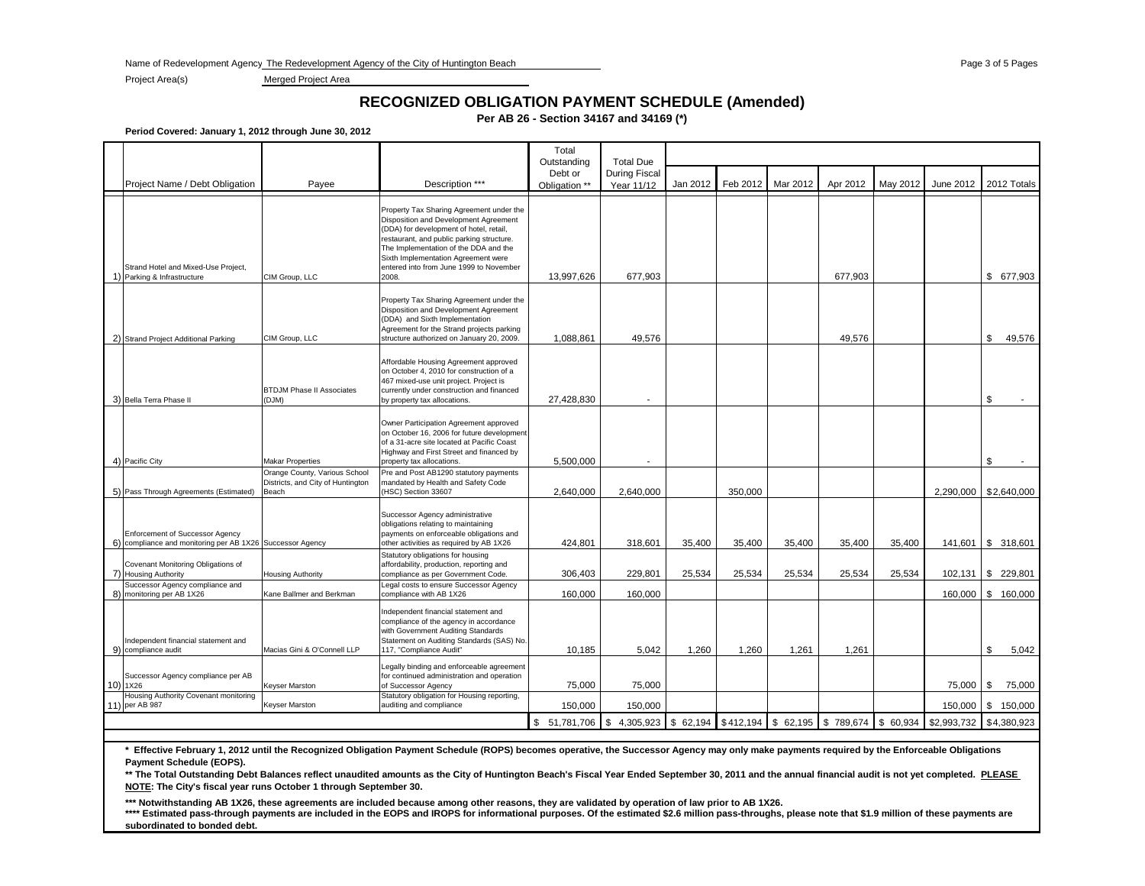Name of Redevelopment Agency: The Redevelopment Agency of the City of Huntington Beach Page 3 of 5 Page 3 of 5 Page 3 of 5 Pages 3 of 5 Pages 3 of 5 Page 3 of 5 Pages 3 of 5 Pages 3 of 5 Page 3 of 5 Page 3 of 5 Page 3 of 5

Project Area(s) Merged Project Area

#### **RECOGNIZED OBLIGATION PAYMENT SCHEDULE (Amended)**

**Per AB 26 - Section 34167 and 34169 (\*)**

**Period Covered: January 1, 2012 through June 30, 2012**

|                |                                                                                           |                                                                             |                                                                                                                                                                                                                                                                                                               | Total<br>Outstanding                                                                        | <b>Total Due</b>     |          |          |          |          |          |              |                                |
|----------------|-------------------------------------------------------------------------------------------|-----------------------------------------------------------------------------|---------------------------------------------------------------------------------------------------------------------------------------------------------------------------------------------------------------------------------------------------------------------------------------------------------------|---------------------------------------------------------------------------------------------|----------------------|----------|----------|----------|----------|----------|--------------|--------------------------------|
|                |                                                                                           |                                                                             |                                                                                                                                                                                                                                                                                                               | Debt or                                                                                     | <b>During Fiscal</b> |          |          |          |          |          |              |                                |
|                | Project Name / Debt Obligation                                                            | Payee                                                                       | Description ***                                                                                                                                                                                                                                                                                               | Obligation **                                                                               | Year 11/12           | Jan 2012 | Feb 2012 | Mar 2012 | Apr 2012 | May 2012 | June 2012    | 2012 Totals                    |
|                | Strand Hotel and Mixed-Use Project,<br>1) Parking & Infrastructure                        | CIM Group, LLC                                                              | Property Tax Sharing Agreement under the<br>Disposition and Development Agreement<br>(DDA) for development of hotel, retail,<br>restaurant, and public parking structure.<br>The Implementation of the DDA and the<br>Sixth Implementation Agreement were<br>entered into from June 1999 to November<br>2008. | 13,997,626                                                                                  | 677,903              |          |          |          | 677,903  |          |              | \$ 677,903                     |
|                | 2) Strand Project Additional Parking                                                      | CIM Group, LLC                                                              | Property Tax Sharing Agreement under the<br>Disposition and Development Agreement<br>(DDA) and Sixth Implementation<br>Agreement for the Strand projects parking<br>structure authorized on January 20, 2009.                                                                                                 | 1,088,861                                                                                   | 49,576               |          |          |          | 49,576   |          |              | \$<br>49,576                   |
|                | 3) Bella Terra Phase II                                                                   | <b>BTDJM Phase II Associates</b><br>(DJM)                                   | Affordable Housing Agreement approved<br>on October 4, 2010 for construction of a<br>467 mixed-use unit project. Project is<br>currently under construction and financed<br>by property tax allocations.                                                                                                      | 27,428,830                                                                                  |                      |          |          |          |          |          |              | \$                             |
|                | 4) Pacific City                                                                           | <b>Makar Properties</b>                                                     | Owner Participation Agreement approved<br>on October 16, 2006 for future development<br>of a 31-acre site located at Pacific Coast<br>Highway and First Street and financed by<br>property tax allocations.                                                                                                   | 5,500,000                                                                                   | ٠.                   |          |          |          |          |          |              | \$<br>$\overline{\phantom{a}}$ |
|                | 5) Pass Through Agreements (Estimated)                                                    | Orange County, Various School<br>Districts, and City of Huntington<br>Beach | Pre and Post AB1290 statutory payments<br>mandated by Health and Safety Code<br>(HSC) Section 33607                                                                                                                                                                                                           | 2,640,000                                                                                   | 2,640,000            |          | 350,000  |          |          |          |              | 2,290,000 \$2,640,000          |
| 6)             | Enforcement of Successor Agency<br>compliance and monitoring per AB 1X26 Successor Agency |                                                                             | Successor Agency administrative<br>obligations relating to maintaining<br>payments on enforceable obligations and<br>other activities as required by AB 1X26<br>Statutory obligations for housing                                                                                                             | 424,801                                                                                     | 318,601              | 35,400   | 35,400   | 35,400   | 35,400   | 35,400   |              | 141,601   \$ 318,601           |
| $\overline{7}$ | Covenant Monitoring Obligations of<br><b>Housing Authority</b>                            | <b>Housing Authority</b>                                                    | affordability, production, reporting and<br>compliance as per Government Code.                                                                                                                                                                                                                                | 306.403                                                                                     | 229,801              | 25,534   | 25,534   | 25,534   | 25,534   | 25,534   | $102,131$ \$ | 229,801                        |
|                | Successor Agency compliance and<br>8) monitoring per AB 1X26                              | Kane Ballmer and Berkman                                                    | Legal costs to ensure Successor Agency<br>compliance with AB 1X26                                                                                                                                                                                                                                             | 160,000                                                                                     | 160,000              |          |          |          |          |          |              | 160,000 \$ 160,000             |
|                | Independent financial statement and<br>9) compliance audit                                | Macias Gini & O'Connell LLP                                                 | Independent financial statement and<br>compliance of the agency in accordance<br>with Government Auditing Standards<br>Statement on Auditing Standards (SAS) No.<br>117, "Compliance Audit"                                                                                                                   | 10,185                                                                                      | 5.042                | 1.260    | 1,260    | 1,261    | 1.261    |          |              | \$<br>5,042                    |
|                | Successor Agency compliance per AB<br>10) 1X26                                            | Keyser Marston                                                              | Legally binding and enforceable agreement<br>for continued administration and operation<br>of Successor Agency                                                                                                                                                                                                | 75,000                                                                                      | 75,000               |          |          |          |          |          | 75,000 \$    | 75,000                         |
|                | Housing Authority Covenant monitoring<br>11) per AB 987                                   | <b>Keyser Marston</b>                                                       | Statutory obligation for Housing reporting,<br>auditing and compliance                                                                                                                                                                                                                                        | 150,000                                                                                     | 150,000              |          |          |          |          |          | 150,000      | \$150,000                      |
|                |                                                                                           |                                                                             |                                                                                                                                                                                                                                                                                                               | $$51,781,706$ $$4,305,923$ $$62,194$ $$412,194$ $$62,195$ $$789,674$ $$60,934$ $$2,993,732$ |                      |          |          |          |          |          |              | \$4,380,923                    |

**\* Effective February 1, 2012 until the Recognized Obligation Payment Schedule (ROPS) becomes operative, the Successor Agency may only make payments required by the Enforceable Obligations Payment Schedule (EOPS).**

\*\* The Total Outstanding Debt Balances reflect unaudited amounts as the City of Huntington Beach's Fiscal Year Ended September 30, 2011 and the annual financial audit is not yet completed. **PLEASE NOTE: The City's fiscal year runs October 1 through September 30.**

**\*\*\* Notwithstanding AB 1X26, these agreements are included because among other reasons, they are validated by operation of law prior to AB 1X26.**

\*\*\*\* Estimated pass-through payments are included in the EOPS and IROPS for informational purposes. Of the estimated \$2.6 million pass-throughs, please note that \$1.9 million of these payments are **subordinated to bonded debt.**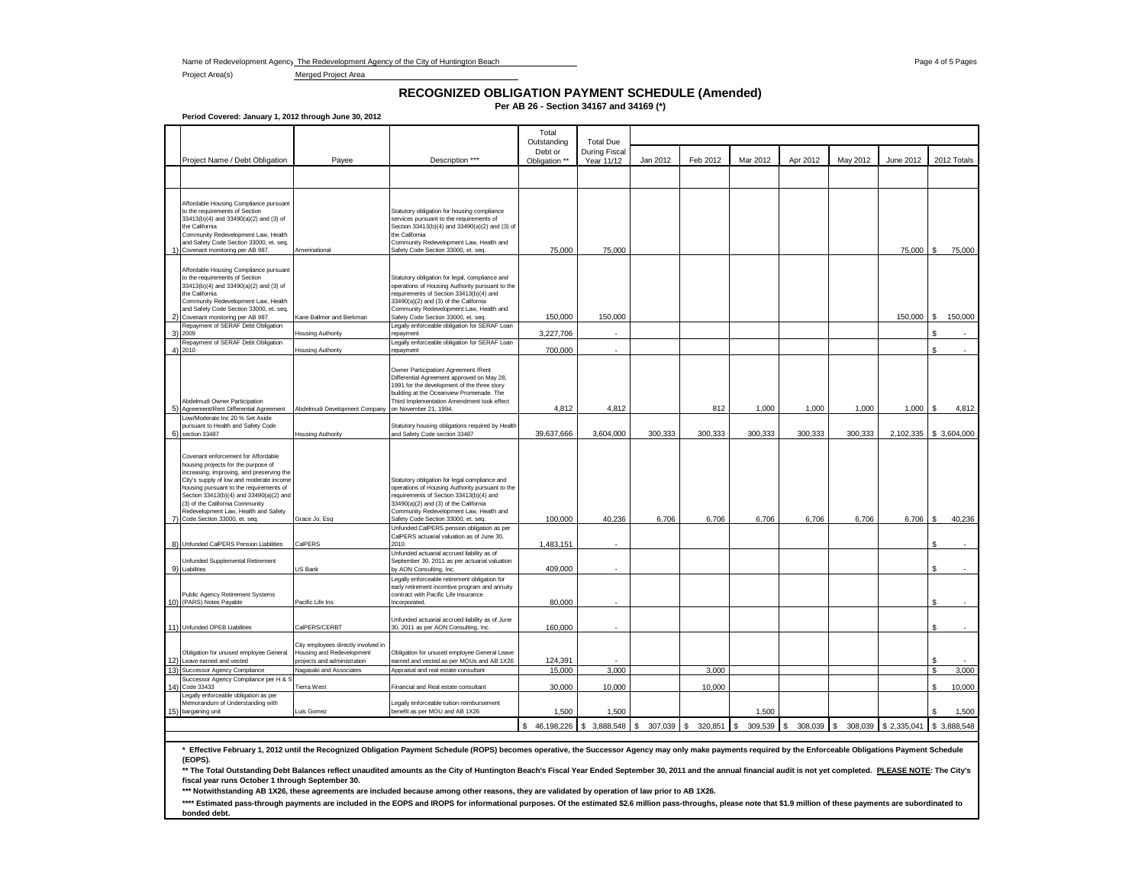Name of Redevelopment Agency: The Redevelopment Agency of the City of Huntington Beach Page 4 of 5 Pages 4 of 5 Pages 4 of 5 Pages

Project Area(s) Merged Project Area

# **RECOGNIZED OBLIGATION PAYMENT SCHEDULE (Amended)**

**Per AB 26 - Section 34167 and 34169 (\*)**

**Period Covered: January 1, 2012 through June 30, 2012**

|                                                                                                                                                                                                                                                                                                                                                                         |                                                                                                 |                                                                                                                                                                                                                                                                         | Total<br>Outstanding<br>Debt or | <b>Total Due</b><br>During Fiscal |               |               |                |               |          |                        |              |                 |
|-------------------------------------------------------------------------------------------------------------------------------------------------------------------------------------------------------------------------------------------------------------------------------------------------------------------------------------------------------------------------|-------------------------------------------------------------------------------------------------|-------------------------------------------------------------------------------------------------------------------------------------------------------------------------------------------------------------------------------------------------------------------------|---------------------------------|-----------------------------------|---------------|---------------|----------------|---------------|----------|------------------------|--------------|-----------------|
| Project Name / Debt Obligation                                                                                                                                                                                                                                                                                                                                          | Payee                                                                                           | Description ***                                                                                                                                                                                                                                                         | Obligation **                   | Year 11/12                        | Jan 2012      | Feb 2012      | Mar 2012       | Apr 2012      | May 2012 | June 2012              | 2012 Totals  |                 |
|                                                                                                                                                                                                                                                                                                                                                                         |                                                                                                 |                                                                                                                                                                                                                                                                         |                                 |                                   |               |               |                |               |          |                        |              |                 |
| Affordable Housing Compliance pursuant<br>to the requirements of Section<br>33413(b)(4) and 33490(a)(2) and (3) of<br>the California<br>Community Redevelopment Law, Health<br>and Safety Code Section 33000, et. seq.<br>Covenant monitoring per AB 987.                                                                                                               | Amerinational                                                                                   | Statutory obligation for housing compliance<br>services pursuant to the requirements of<br>Section 33413(b)(4) and 33490(a)(2) and (3) of<br>the California<br>Community Redevelopment Law, Health and<br>Safety Code Section 33000, et. seq.                           | 75,000                          | 75,000                            |               |               |                |               |          | 75,000 \$              |              | 75,000          |
| Affordable Housing Compliance pursuant<br>to the requirements of Section<br>33413(b)(4) and 33490(a)(2) and (3) of<br>the California<br>Community Redevelopment Law, Health<br>and Safety Code Section 33000, et. seq.<br>2) Covenant monitoring per AB 987.                                                                                                            | Kane Ballmer and Berkman                                                                        | Statutory obligation for legal, compliance and<br>operations of Housing Authority pursuant to the<br>requirements of Section 33413(b)(4) and<br>33490(a)(2) and (3) of the California<br>Community Redevelopment Law, Health and<br>Safety Code Section 33000, et. seq. | 150,000                         | 150,000                           |               |               |                |               |          | 150,000 \$             |              | 150,000         |
| Repayment of SERAF Debt Obligation                                                                                                                                                                                                                                                                                                                                      |                                                                                                 | Legally enforceable obligation for SERAF Loan                                                                                                                                                                                                                           |                                 |                                   |               |               |                |               |          |                        |              |                 |
| 3) 2009<br>Repayment of SERAF Debt Obligation                                                                                                                                                                                                                                                                                                                           | Housing Authority                                                                               | repayment<br>Legally enforceable obligation for SERAF Loan                                                                                                                                                                                                              | 3,227,706                       |                                   |               |               |                |               |          |                        |              |                 |
| 4) 2010                                                                                                                                                                                                                                                                                                                                                                 | Housing Authority                                                                               | repayment                                                                                                                                                                                                                                                               | 700,000                         | ÷.                                |               |               |                |               |          |                        | \$           |                 |
| Abdelmudi Owner Participation<br>Agreement/Rent Differential Agreement                                                                                                                                                                                                                                                                                                  | Abdelmudi Development Company                                                                   | Owner Participationt Agreement /Rent<br>Differential Agreement approved on May 28,<br>1991 for the development of the three story<br>building at the Oceanview Promenade. The<br>Third Implementation Amendment took effect<br>on November 21, 1994.                    | 4,812                           | 4,812                             |               | 812           | 1,000          | 1,000         | 1,000    | 1,000                  | £.           | 4,812           |
| Low/Moderate Inc 20 % Set Aside                                                                                                                                                                                                                                                                                                                                         |                                                                                                 |                                                                                                                                                                                                                                                                         |                                 |                                   |               |               |                |               |          |                        |              |                 |
| pursuant to Health and Safety Code<br>6) section 33487                                                                                                                                                                                                                                                                                                                  | lousing Authority                                                                               | Statutory housing obligations required by Health<br>and Safety Code section 33487                                                                                                                                                                                       | 39,637,666                      | 3,604,000                         | 300,333       | 300,333       | 300,333        | 300,333       | 300,333  | 2,102,335 \$ 3,604,000 |              |                 |
| Covenant enforcement for Affordable<br>housing projects for the purpose of<br>increasing, improving, and preserving the<br>City's supply of low and moderate income<br>housing pursuant to the requirements of<br>Section 33413(b)(4) and 33490(a)(2) and<br>(3) of the California Community<br>Redevelopment Law, Health and Safety<br>7) Code Section 33000, et. seq. | Grace Jo, Esq                                                                                   | Statutory obligation for legal compliance and<br>operations of Housing Authority pursuant to the<br>requirements of Section 33413(b)(4) and<br>33490(a)(2) and (3) of the California<br>Community Redevelopment Law, Health and<br>Safety Code Section 33000, et. seq.  | 100,000                         | 40,236                            | 6,706         | 6,706         | 6,706          | 6,706         | 6,706    | 6,706                  | s.           | 40,236          |
|                                                                                                                                                                                                                                                                                                                                                                         |                                                                                                 | Unfunded CalPERS pension obligation as per<br>CalPERS actuarial valuation as of June 30,                                                                                                                                                                                |                                 |                                   |               |               |                |               |          |                        |              |                 |
| 8) Unfunded CalPERS Pension Liabilities                                                                                                                                                                                                                                                                                                                                 | CalPERS                                                                                         | 2010.<br>Unfunded actuarial accrued liability as of                                                                                                                                                                                                                     | 1,483,151                       |                                   |               |               |                |               |          |                        |              |                 |
| Unfunded Supplemental Retirement<br>9) Liabilities                                                                                                                                                                                                                                                                                                                      | US Bank                                                                                         | September 30, 2011 as per actuarial valuation<br>by AON Consulting, Inc.                                                                                                                                                                                                | 409,000                         |                                   |               |               |                |               |          |                        |              |                 |
| Public Agency Retirement Systems<br>10) (PARS) Notes Payable                                                                                                                                                                                                                                                                                                            | Pacific Life Ins                                                                                | Legally enforceable retirement obligation for<br>early retirement incentive program and annuity<br>contract with Pacific Life Insurance<br>Incorporated.                                                                                                                | 80,000                          |                                   |               |               |                |               |          |                        |              |                 |
| 11) Unfunded OPEB Liabilities                                                                                                                                                                                                                                                                                                                                           | CalPERS/CERBT                                                                                   | Unfunded actuarial accrued liability as of June<br>30, 2011 as per AON Consulting, Inc.                                                                                                                                                                                 | 160,000                         |                                   |               |               |                |               |          |                        |              |                 |
| Obligation for unused employee General<br>12) Leave earned and vested                                                                                                                                                                                                                                                                                                   | City employees directly involved in<br>Housing and Redevelopment<br>projects and administration | Obligation for unused employee General Leave<br>earned and vested as per MOUs and AB 1X26                                                                                                                                                                               | 124,391                         |                                   |               |               |                |               |          |                        | \$           |                 |
| 13) Successor Agency Compliance<br>Successor Agency Compliance per H &                                                                                                                                                                                                                                                                                                  | Nagasaki and Associates                                                                         | Appraisal and real estate consultant                                                                                                                                                                                                                                    | 15,000                          | 3,000                             |               | 3,000         |                |               |          |                        |              | 3,000           |
| 14) Code 33433<br>Legally enforceable obligation as per<br>Memorandum of Understanding with<br>15) bargaining unit                                                                                                                                                                                                                                                      | Tierra West<br>uis Gomez                                                                        | Financial and Real estate consultant<br>Legally enforceable tuition reimbursement<br>benefit as per MOU and AB 1X26                                                                                                                                                     | 30,000<br>1,500                 | 10,000<br>1,500                   |               | 10,000        | 1,500          |               |          |                        | \$<br>\$.    | 10,000<br>1,500 |
|                                                                                                                                                                                                                                                                                                                                                                         |                                                                                                 |                                                                                                                                                                                                                                                                         | \$46,198,226                    | 3,888,548<br>£.                   | 307,039<br>s. | \$<br>320.851 | 309.539<br>\$. | 308,039<br>£. | l \$     | 308,039 \$ 2,335,041   | \$ 3,888,548 |                 |
|                                                                                                                                                                                                                                                                                                                                                                         |                                                                                                 |                                                                                                                                                                                                                                                                         |                                 |                                   |               |               |                |               |          |                        |              |                 |

\* Effective February 1, 2012 until the Recognized Obligation Payment Schedule (ROPS) becomes operative, the Successor Agency may only make payments required by the Enforceable Obligations Payment Schedule **(EOPS).**

**\*\* The Total Outstanding Debt Balances reflect unaudited amounts as the City of Huntington Beach's Fiscal Year Ended September 30, 2011 and the annual financial audit is not yet completed. PLEASE NOTE: The City's fiscal year runs October 1 through September 30.**

**\*\*\* Notwithstanding AB 1X26, these agreements are included because among other reasons, they are validated by operation of law prior to AB 1X26.**

\*\*\*\* Estimated pass-through payments are included in the EOPS and IROPS for informational purposes. Of the estimated \$2.6 million pass-throughs, please note that \$1.9 million of these payments are subordinated to **bonded debt.**